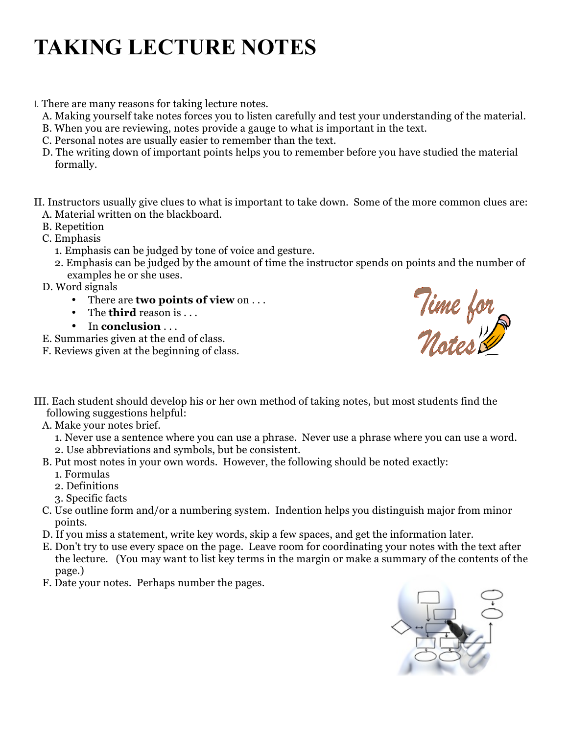## **TAKING LECTURE NOTES**

I. There are many reasons for taking lecture notes.

- A. Making yourself take notes forces you to listen carefully and test your understanding of the material.
- B. When you are reviewing, notes provide a gauge to what is important in the text.
- C. Personal notes are usually easier to remember than the text.
- D. The writing down of important points helps you to remember before you have studied the material formally.

II. Instructors usually give clues to what is important to take down. Some of the more common clues are: A. Material written on the blackboard.

- B. Repetition
- C. Emphasis
	- 1. Emphasis can be judged by tone of voice and gesture.
	- 2. Emphasis can be judged by the amount of time the instructor spends on points and the number of examples he or she uses.

D. Word signals

- There are **two points of view** on . . .
- The **third** reason is . . .
- In **conclusion** . . .

E. Summaries given at the end of class.

F. Reviews given at the beginning of class.



- III. Each student should develop his or her own method of taking notes, but most students find the following suggestions helpful:
	- A. Make your notes brief.
		- 1. Never use a sentence where you can use a phrase. Never use a phrase where you can use a word.
		- 2. Use abbreviations and symbols, but be consistent.
	- B. Put most notes in your own words. However, the following should be noted exactly:
		- 1. Formulas
		- 2. Definitions
		- 3. Specific facts
	- C. Use outline form and/or a numbering system. Indention helps you distinguish major from minor points.
	- D. If you miss a statement, write key words, skip a few spaces, and get the information later.
	- E. Don't try to use every space on the page. Leave room for coordinating your notes with the text after the lecture. (You may want to list key terms in the margin or make a summary of the contents of the page.)
	- F. Date your notes. Perhaps number the pages.